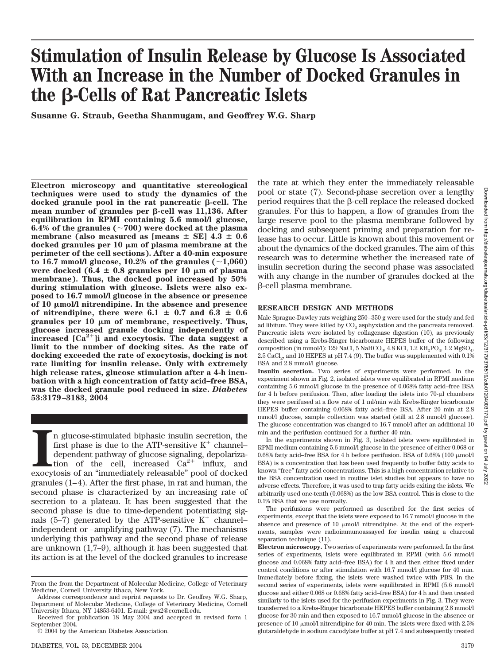# **Stimulation of Insulin Release by Glucose Is Associated With an Increase in the Number of Docked Granules in the -Cells of Rat Pancreatic Islets**

**Susanne G. Straub, Geetha Shanmugam, and Geoffrey W.G. Sharp**

**Electron microscopy and quantitative stereological techniques were used to study the dynamics of the**  $d$ ocked granule pool in the rat pancreatic  $\beta$ -cell. The mean number of granules per  $\beta$ -cell was 11,136. After **equilibration in RPMI containing 5.6 mmol/l glucose, 6.4% of the granules (700) were docked at the plasma** membrane (also measured as  ${\rm [means\ \pm\ SE]}$  4.3  $\pm$  0.6 **docked granules per 10 m of plasma membrane at the perimeter of the cell sections). After a 40-min exposure** to 16.7 mmol/l glucose,  $10.2\%$  of the granules  $(\sim 1,060)$ were docked  $(6.4 \pm 0.8 \text{ granules per } 10 \mu \text{m of plasma})$ **membrane). Thus, the docked pool increased by 50% during stimulation with glucose. Islets were also exposed to 16.7 mmol/l glucose in the absence or presence of 10 mol/l nitrendipine. In the absence and presence** of nitrendipine, there were  $6.1 \pm 0.7$  and  $6.3 \pm 0.6$ granules per 10  $\mu$ m of membrane, respectively. Thus, **glucose increased granule docking independently of** increased  $[Ca<sup>2+</sup>]$  and exocytosis. The data suggest a **limit to the number of docking sites. As the rate of docking exceeded the rate of exocytosis, docking is not rate limiting for insulin release. Only with extremely high release rates, glucose stimulation after a 4-h incubation with a high concentration of fatty acid–free BSA, was the docked granule pool reduced in size.** *Diabetes* **53:3179–3183, 2004**

In glucose-stimulated biphasic insulin secretion, the first phase is due to the ATP-sensitive  $K^+$  channel-dependent pathway of glucose signaling, depolarization of the cell, increased  $Ca^{2+}$  influx, and exocytosis of a n glucose-stimulated biphasic insulin secretion, the first phase is due to the ATP-sensitive  $K^+$  channeldependent pathway of glucose signaling, depolarization of the cell, increased  $Ca^{2+}$  influx, and granules  $(1-4)$ . After the first phase, in rat and human, the second phase is characterized by an increasing rate of secretion to a plateau. It has been suggested that the second phase is due to time-dependent potentiating signals  $(5-7)$  generated by the ATP-sensitive K<sup>+</sup> channelindependent or –amplifying pathway (7). The mechanisms underlying this pathway and the second phase of release are unknown (1,7–9), although it has been suggested that its action is at the level of the docked granules to increase

the rate at which they enter the immediately releasable pool or state (7). Second-phase secretion over a lengthy period requires that the B-cell replace the released docked granules. For this to happen, a flow of granules from the large reserve pool to the plasma membrane followed by docking and subsequent priming and preparation for release has to occur. Little is known about this movement or about the dynamics of the docked granules. The aim of this research was to determine whether the increased rate of insulin secretion during the second phase was associated with any change in the number of granules docked at the -cell plasma membrane.

## **RESEARCH DESIGN AND METHODS**

Male Sprague-Dawley rats weighing 250 –350 g were used for the study and fed ad libitum. They were killed by  $CO<sub>2</sub>$  asphyxiation and the pancreata removed. Pancreatic islets were isolated by collagenase digestion (10), as previously described using a Krebs-Ringer bicarbonate HEPES buffer of the following composition (in mmol/l): 129 NaCl, 5 NaHCO<sub>3</sub>, 4.8 KCl, 1.2 KH<sub>2</sub>PO<sub>4</sub>, 1.2 MgSO<sub>4</sub>,  $2.5$  CaCl<sub>2</sub>, and 10 HEPES at pH 7.4 (9). The buffer was supplemented with 0.1% BSA and 2.8 mmol/l glucose.

**Insulin secretion.** Two series of experiments were performed. In the experiment shown in Fig. 2, isolated islets were equilibrated in RPMI medium containing 5.6 mmol/l glucose in the presence of 0.068% fatty acid–free BSA for 4 h before perifusion. Then, after loading the islets into  $70$ - $\mu$ l chambers they were perifused at a flow rate of 1 ml/min with Krebs-Ringer bicarbonate HEPES buffer containing 0.068% fatty acid–free BSA. After 20 min at 2.8 mmol/l glucose, sample collection was started (still at 2.8 mmol/l glucose). The glucose concentration was changed to 16.7 mmol/l after an additional 10 min and the perifusion continued for a further 40 min.

In the experiments shown in Fig. 3, isolated islets were equilibrated in RPMI medium containing 5.6 mmol/l glucose in the presence of either 0.068 or 0.68% fatty acid–free BSA for 4 h before perifusion. BSA of 0.68% (100  $\mu$ mol/l BSA) is a concentration that has been used frequently to buffer fatty acids to known "free" fatty acid concentrations. This is a high concentration relative to the BSA concentration used in routine islet studies but appears to have no adverse effects. Therefore, it was used to trap fatty acids exiting the islets. We arbitrarily used one-tenth (0.068%) as the low BSA control. This is close to the 0.1% BSA that we use normally.

The perifusions were performed as described for the first series of experiments, except that the islets were exposed to 16.7 mmol/l glucose in the absence and presence of 10  $\mu$ mol/l nitrendipine. At the end of the experiments, samples were radioimmunoassayed for insulin using a charcoal separation technique  $(11)$ .

**Electron microscopy.** Two series of experiments were performed. In the first series of experiments, islets were equilibrated in RPMI (with 5.6 mmol/l glucose and 0.068% fatty acid–free BSA) for 4 h and then either fixed under control conditions or after stimulation with 16.7 mmol/l glucose for 40 min. Immediately before fixing, the islets were washed twice with PBS. In the second series of experiments, islets were equilibrated in RPMI (5.6 mmol/l glucose and either 0.068 or 0.68% fatty acid–free BSA) for 4 h and then treated similarly to the islets used for the perifusion experiments in Fig. 3. They were transferred to a Krebs-Ringer bicarbonate HEPES buffer containing 2.8 mmol/l glucose for 30 min and then exposed to 16.7 mmol/l glucose in the absence or presence of 10  $\mu$ mol/l nitrendipine for 40 min. The islets were fixed with 2.5% glutaraldehyde in sodium cacodylate buffer at pH 7.4 and subsequently treated

From the from the Department of Molecular Medicine, College of Veterinary Medicine, Cornell University Ithaca, New York.

Address correspondence and reprint requests to Dr. Geoffrey W.G. Sharp, Department of Molecular Medicine, College of Veterinary Medicine, Cornell University Ithaca, NY 14853-6401. E-mail: gws2@cornell.edu.

Received for publication 18 May 2004 and accepted in revised form 1 September 2004.

<sup>© 2004</sup> by the American Diabetes Association.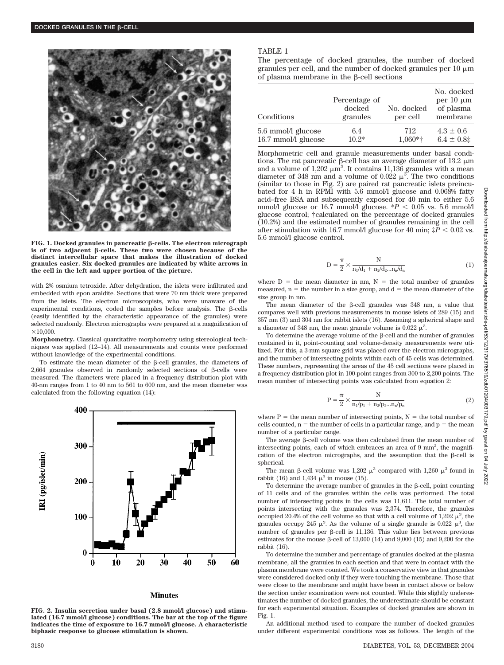

**FIG. 1. Docked granules in pancreatic β-cells. The electron micrograph** is of two adjacent β-cells. These two were chosen because of the **distinct intercellular space that makes the illustration of docked granules easier. Six docked granules are indicated by white arrows in the cell in the left and upper portion of the picture.**

with 2% osmium tetroxide. After dehydration, the islets were infiltrated and embedded with epon araldite. Sections that were 70 nm thick were prepared from the islets. The electron microscopists, who were unaware of the experimental conditions, coded the samples before analysis. The  $\beta$ -cells (easily identified by the characteristic appearance of the granules) were selected randomly. Electron micrographs were prepared at a magnification of  $\times$ 10,000.

**Morphometry.** Classical quantitative morphometry using stereological techniques was applied (12–14). All measurements and counts were performed without knowledge of the experimental conditions.

To estimate the mean diameter of the  $\beta$ -cell granules, the diameters of 2,664 granules observed in randomly selected sections of  $\beta$ -cells were measured. The diameters were placed in a frequency distribution plot with 40-nm ranges from 1 to 40 nm to 561 to 600 nm, and the mean diameter was calculated from the following equation (14):



#### **Minutes**

**FIG. 2. Insulin secretion under basal (2.8 mmol/l glucose) and stimulated (16.7 mmol/l glucose) conditions. The bar at the top of the figure indicates the time of exposure to 16.7 mmol/l glucose. A characteristic biphasic response to glucose stimulation is shown.**

## TABLE 1

The percentage of docked granules, the number of docked granules per cell, and the number of docked granules per  $10 \mu m$ of plasma membrane in the  $\beta$ -cell sections

| Conditions          | Percentage of<br>docked<br>granules | No. docked<br>per cell | No. docked<br>per $10 \mu m$<br>of plasma<br>membrane |
|---------------------|-------------------------------------|------------------------|-------------------------------------------------------|
| 5.6 mmol/l glucose  | 6.4                                 | 712                    | $4.3 \pm 0.6$                                         |
| 16.7 mmol/l glucose | $10.2*$                             | $1,060*$ †             | $6.4 \pm 0.8$ ‡                                       |

Morphometric cell and granule measurements under basal conditions. The rat pancreatic  $\beta$ -cell has an average diameter of 13.2  $\mu$ m and a volume of 1,202  $\mu$ m<sup>3</sup>. It contains 11,136 granules with a mean diameter of 348 nm and a volume of 0.022  $\mu^3$ . The two conditions (similar to those in Fig. 2) are paired rat pancreatic islets preincubated for 4 h in RPMI with 5.6 mmol/l glucose and 0.068% fatty acid–free BSA and subsequently exposed for 40 min to either 5.6 mmol/l glucose or 16.7 mmol/l glucose.  $*P < 0.05$  vs. 5.6 mmol/l glucose control; †calculated on the percentage of docked granules (10.2%) and the estimated number of granules remaining in the cell after stimulation with 16.7 mmol/l glucose for 40 min;  $\ddot{\tau}P < 0.02$  vs. 5.6 mmol/l glucose control.

$$
D = \frac{\pi}{2} \times \frac{N}{n_1/d_1 + n_2/d_2 ... n_n/d_n}
$$
 (1)

where  $D =$  the mean diameter in nm,  $N =$  the total number of granules measured,  $n =$  the number in a size group, and  $d =$  the mean diameter of the size group in nm.

The mean diameter of the  $\beta$ -cell granules was 348 nm, a value that compares well with previous measurements in mouse islets of 289 (15) and 357 nm (3) and 304 nm for rabbit islets (16). Assuming a spherical shape and a diameter of 348 nm, the mean granule volume is  $0.022 \mu^3$ .

To determine the average volume of the B-cell and the number of granules contained in it, point-counting and volume-density measurements were utilized. For this, a 3-mm square grid was placed over the electron micrographs, and the number of intersecting points within each of 45 cells was determined. These numbers, representing the areas of the 45 cell sections were placed in a frequency distribution plot in 100-point ranges from 300 to 2,200 points. The mean number of intersecting points was calculated from equation 2:

$$
P = \frac{\pi}{2} \times \frac{N}{n_1/p_1 + n_2/p_2 ... n_n/p_n}
$$
 (2)

where  $P =$  the mean number of intersecting points,  $N =$  the total number of cells counted,  $n =$  the number of cells in a particular range, and  $p =$  the mean number of a particular range.

The average  $\beta$ -cell volume was then calculated from the mean number of intersecting points, each of which embraces an area of 9 mm<sup>2</sup>, the magnification of the electron micrographs, and the assumption that the  $\beta$ -cell is spherical.

The mean  $\beta$ -cell volume was 1,202  $\mu^3$  compared with 1,260  $\mu^3$  found in rabbit (16) and 1,434  $\mu^3$  in mouse (15).

To determine the average number of granules in the  $\beta$ -cell, point counting of 11 cells and of the granules within the cells was performed. The total number of intersecting points in the cells was 11,611. The total number of points intersecting with the granules was 2,374. Therefore, the granules occupied 20.4% of the cell volume so that with a cell volume of  $1,202 \mu^3$ , the granules occupy 245  $\mu^3$ . As the volume of a single granule is 0.022  $\mu^3$ , the number of granules per  $\beta$ -cell is 11,136. This value lies between previous estimates for the mouse  $\beta$ -cell of 13,000 (14) and 9,000 (15) and 9,200 for the rabbit (16).

To determine the number and percentage of granules docked at the plasma membrane, all the granules in each section and that were in contact with the plasma membrane were counted. We took a conservative view in that granules were considered docked only if they were touching the membrane. Those that were close to the membrane and might have been in contact above or below the section under examination were not counted. While this slightly underestimates the number of docked granules, the underestimate should be constant for each experimental situation. Examples of docked granules are shown in Fig. 1.

An additional method used to compare the number of docked granules under different experimental conditions was as follows. The length of the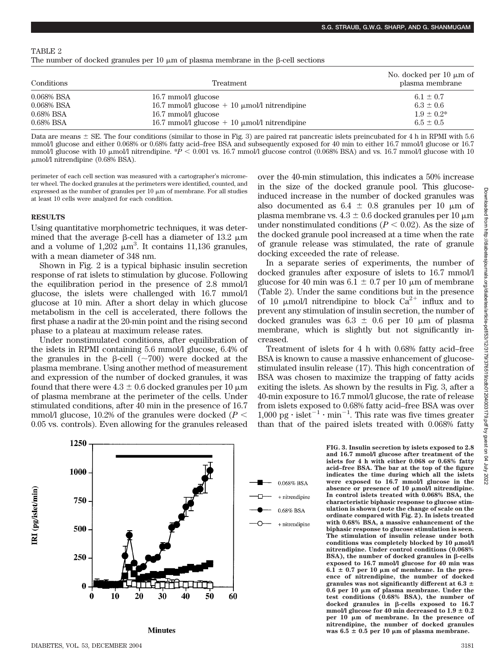TABLE 2

|  |  |  |  |  |  |  |  |  |  | The number of docked granules per 10 $\mu$ m of plasma membrane in the $\beta$ -cell sections |  |  |  |  |  |
|--|--|--|--|--|--|--|--|--|--|-----------------------------------------------------------------------------------------------|--|--|--|--|--|
|--|--|--|--|--|--|--|--|--|--|-----------------------------------------------------------------------------------------------|--|--|--|--|--|

| Conditions    | Treatment                                           | No. docked per 10 $\mu$ m of<br>plasma membrane |  |  |  |
|---------------|-----------------------------------------------------|-------------------------------------------------|--|--|--|
| $0.068\%$ BSA | 16.7 mmol/l glucose                                 | 6.1 $\pm$ 0.7                                   |  |  |  |
| $0.068\%$ BSA | 16.7 mmol/l glucose $+$ 10 $\mu$ mol/l nitrendipine | $6.3 \pm 0.6$                                   |  |  |  |
| $0.68\%$ BSA  | 16.7 mmol/l glucose                                 | $1.9 \pm 0.2^*$                                 |  |  |  |
| $0.68\%$ BSA  | 16.7 mmol/l glucose $+$ 10 $\mu$ mol/l nitrendipine | $6.5 \pm 0.5$                                   |  |  |  |

Data are means  $\pm$  SE. The four conditions (similar to those in Fig. 3) are paired rat pancreatic islets preincubated for 4 h in RPMI with 5.6 mmol/l glucose and either 0.068% or 0.68% fatty acid–free BSA and subsequently exposed for 40 min to either 16.7 mmol/l glucose or 16.7 mmol/l glucose with 10  $\mu$ mol/l nitrendipine. \**P* < 0.001 vs. 16.7 mmol/l glucose control (0.068% BSA) and vs. 16.7 mmol/l glucose with 10  $\mu$ mol/l nitrendipine (0.68% BSA).

perimeter of each cell section was measured with a cartographer's micrometer wheel. The docked granules at the perimeters were identified, counted, and expressed as the number of granules per  $10 \mu m$  of membrane. For all studies at least 10 cells were analyzed for each condition.

## **RESULTS**

Using quantitative morphometric techniques, it was determined that the average  $\beta$ -cell has a diameter of 13.2  $\mu$ m and a volume of  $1,202 \mu m^3$ . It contains 11,136 granules, with a mean diameter of 348 nm.

Shown in Fig. 2 is a typical biphasic insulin secretion response of rat islets to stimulation by glucose. Following the equilibration period in the presence of 2.8 mmol/l glucose, the islets were challenged with 16.7 mmol/l glucose at 10 min. After a short delay in which glucose metabolism in the cell is accelerated, there follows the first phase a nadir at the 20-min point and the rising second phase to a plateau at maximum release rates.

Under nonstimulated conditions, after equilibration of the islets in RPMI containing 5.6 mmol/l glucose, 6.4% of the granules in the  $\beta$ -cell ( $\sim$ 700) were docked at the plasma membrane. Using another method of measurement and expression of the number of docked granules, it was found that there were  $4.3 \pm 0.6$  docked granules per 10  $\mu$ m of plasma membrane at the perimeter of the cells. Under stimulated conditions, after 40 min in the presence of 16.7 mmol/l glucose, 10.2% of the granules were docked  $(P \leq$ 0.05 vs. controls). Even allowing for the granules released

over the 40-min stimulation, this indicates a 50% increase in the size of the docked granule pool. This glucoseinduced increase in the number of docked granules was also documented as  $6.4 \pm 0.8$  granules per 10  $\mu$ m of plasma membrane vs.  $4.3 \pm 0.6$  docked granules per 10  $\mu$ m under nonstimulated conditions  $(P < 0.02)$ . As the size of the docked granule pool increased at a time when the rate of granule release was stimulated, the rate of granule docking exceeded the rate of release.

In a separate series of experiments, the number of docked granules after exposure of islets to 16.7 mmol/l glucose for 40 min was  $6.1 \pm 0.7$  per 10 µm of membrane (Table 2). Under the same conditions but in the presence of 10  $\mu$ mol/l nitrendipine to block Ca<sup>2+</sup> influx and to prevent any stimulation of insulin secretion, the number of docked granules was  $6.3 \pm 0.6$  per 10  $\mu$ m of plasma membrane, which is slightly but not significantly increased.

Treatment of islets for 4 h with 0.68% fatty acid–free BSA is known to cause a massive enhancement of glucosestimulated insulin release (17). This high concentration of BSA was chosen to maximize the trapping of fatty acids exiting the islets. As shown by the results in Fig. 3, after a 40-min exposure to 16.7 mmol/l glucose, the rate of release from islets exposed to 0.68% fatty acid–free BSA was over  $1,000 \text{ pg} \cdot \text{islet}^{-1} \cdot \text{min}^{-1}$ . This rate was five times greater than that of the paired islets treated with 0.068% fatty

> **FIG. 3. Insulin secretion by islets exposed to 2.8 and 16.7 mmol/l glucose after treatment of the islets for 4 h with either 0.068 or 0.68% fatty acid–free BSA. The bar at the top of the figure indicates the time during which all the islets were exposed to 16.7 mmol/l glucose in the absence or presence of 10 mol/l nitrendipine. In control islets treated with 0.068% BSA, the characteristic biphasic response to glucose stimulation is shown (note the change of scale on the ordinate compared with Fig. 2). In islets treated with 0.68% BSA, a massive enhancement of the biphasic response to glucose stimulation is seen. The stimulation of insulin release under both** conditions was completely blocked by 10  $\mu$ mol/l **nitrendipine. Under control conditions (0.068%**  $BSA$ ), the number of docked granules in  $\beta$ -cells **exposed to 16.7 mmol/l glucose for 40 min was**  $6.1 \pm 0.7$  per 10  $\mu$ m of membrane. In the pres**ence of nitrendipine, the number of docked** granules was not significantly different at  $6.3 \pm$ **0.6 per 10 m of plasma membrane. Under the test conditions (0.68% BSA), the number of** docked granules in  $\beta$ -cells exposed to 16.7  $mmol/l$  glucose for  $40$   $min$  decreased to  $1.9 \pm 0.2$ **per 10 m of membrane. In the presence of nitrendipine, the number of docked granules**  $\text{was } 6.5 \pm 0.5 \text{ per } 10 \mu \text{m of plasma membrane.}$



**Minutes**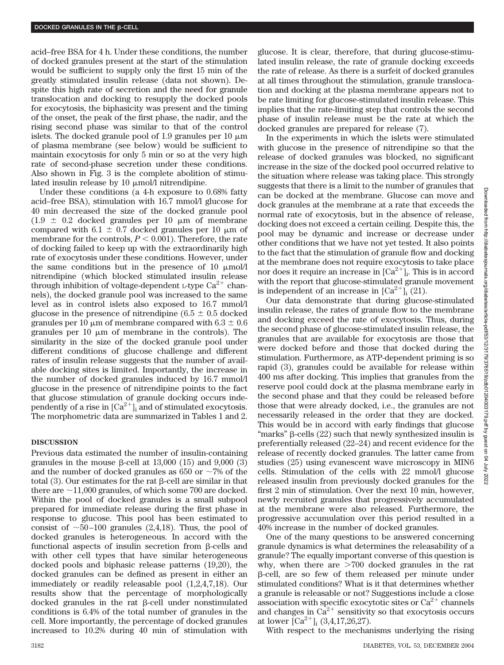acid–free BSA for 4 h. Under these conditions, the number of docked granules present at the start of the stimulation would be sufficient to supply only the first 15 min of the greatly stimulated insulin release (data not shown). Despite this high rate of secretion and the need for granule translocation and docking to resupply the docked pools for exocytosis, the biphasicity was present and the timing of the onset, the peak of the first phase, the nadir, and the rising second phase was similar to that of the control islets. The docked granule pool of 1.9 granules per 10  $\mu$ m of plasma membrane (see below) would be sufficient to maintain exocytosis for only 5 min or so at the very high rate of second-phase secretion under these conditions. Also shown in Fig. 3 is the complete abolition of stimulated insulin release by  $10 \mu \text{mol/l}$  nitrendipine.

Under these conditions (a 4-h exposure to 0.68% fatty acid–free BSA), stimulation with 16.7 mmol/l glucose for 40 min decreased the size of the docked granule pool  $(1.9 \pm 0.2)$  docked granules per 10  $\mu$ m of membrane compared with 6.1  $\pm$  0.7 docked granules per 10  $\mu$ m of membrane for the controls,  $P \leq 0.001$ ). Therefore, the rate of docking failed to keep up with the extraordinarily high rate of exocytosis under these conditions. However, under the same conditions but in the presence of 10  $\mu$ mol/l nitrendipine (which blocked stimulated insulin release through inhibition of voltage-dependent L-type  $Ca^{2+}$  channels), the docked granule pool was increased to the same level as in control islets also exposed to 16.7 mmol/l glucose in the presence of nitrendipine (6.5  $\pm$  0.5 docked granules per 10  $\mu$ m of membrane compared with 6.3  $\pm$  0.6 granules per  $10 \mu m$  of membrane in the controls). The similarity in the size of the docked granule pool under different conditions of glucose challenge and different rates of insulin release suggests that the number of available docking sites is limited. Importantly, the increase in the number of docked granules induced by 16.7 mmol/l glucose in the presence of nitrendipine points to the fact that glucose stimulation of granule docking occurs independently of a rise in  $\lbrack Ca^{2+}\rbrack _i$  and of stimulated exocytosis. The morphometric data are summarized in Tables 1 and 2.

## **DISCUSSION**

Previous data estimated the number of insulin-containing granules in the mouse  $\beta$ -cell at 13,000 (15) and 9,000 (3) and the number of docked granules as 650 or  $\sim$ 7% of the total  $(3)$ . Our estimates for the rat  $\beta$ -cell are similar in that there are  $\sim$ 11,000 granules, of which some 700 are docked. Within the pool of docked granules is a small subpool prepared for immediate release during the first phase in response to glucose. This pool has been estimated to consist of  $\sim$ 50–100 granules (2,4,18). Thus, the pool of docked granules is heterogeneous. In accord with the functional aspects of insulin secretion from  $\beta$ -cells and with other cell types that have similar heterogeneous docked pools and biphasic release patterns (19,20), the docked granules can be defined as present in either an immediately or readily releasable pool (1,2,4,7,18). Our results show that the percentage of morphologically  $d$ ocked granules in the rat  $\beta$ -cell under nonstimulated conditions is 6.4% of the total number of granules in the cell. More importantly, the percentage of docked granules increased to 10.2% during 40 min of stimulation with glucose. It is clear, therefore, that during glucose-stimulated insulin release, the rate of granule docking exceeds the rate of release. As there is a surfeit of docked granules at all times throughout the stimulation, granule translocation and docking at the plasma membrane appears not to be rate limiting for glucose-stimulated insulin release. This implies that the rate-limiting step that controls the second phase of insulin release must be the rate at which the docked granules are prepared for release (7).

In the experiments in which the islets were stimulated with glucose in the presence of nitrendipine so that the release of docked granules was blocked, no significant increase in the size of the docked pool occurred relative to the situation where release was taking place. This strongly suggests that there is a limit to the number of granules that can be docked at the membrane. Glucose can move and dock granules at the membrane at a rate that exceeds the normal rate of exocytosis, but in the absence of release, docking does not exceed a certain ceiling. Despite this, the pool may be dynamic and increase or decrease under other conditions that we have not yet tested. It also points to the fact that the stimulation of granule flow and docking at the membrane does not require exocytosis to take place nor does it require an increase in  ${\rm [Ca^{2+}]_{i}.}$  This is in accord with the report that glucose-stimulated granule movement is independent of an increase in  $\lbrack Ca^{2+} \rbrack$  (21).

Our data demonstrate that during glucose-stimulated insulin release, the rates of granule flow to the membrane and docking exceed the rate of exocytosis. Thus, during the second phase of glucose-stimulated insulin release, the granules that are available for exocytosis are those that were docked before and those that docked during the stimulation. Furthermore, as ATP-dependent priming is so rapid (3), granules could be available for release within 400 ms after docking. This implies that granules from the reserve pool could dock at the plasma membrane early in the second phase and that they could be released before those that were already docked, i.e., the granules are not necessarily released in the order that they are docked. This would be in accord with early findings that glucose "marks"  $\beta$ -cells (22) such that newly synthesized insulin is preferentially released (22–24) and recent evidence for the release of recently docked granules. The latter came from studies (25) using evanescent wave microscopy in MIN6 cells. Stimulation of the cells with 22 mmol/l glucose released insulin from previously docked granules for the first 2 min of stimulation. Over the next 10 min, however, newly recruited granules that progressively accumulated at the membrane were also released. Furthermore, the progressive accumulation over this period resulted in a 40% increase in the number of docked granules.

One of the many questions to be answered concerning granule dynamics is what determines the releasability of a granule? The equally important converse of this question is why, when there are  $>700$  docked granules in the rat -cell, are so few of them released per minute under stimulated conditions? What is it that determines whether a granule is releasable or not? Suggestions include a close association with specific exocytotic sites or  $Ca^{2+}$  channels and changes in  $Ca^{2+}$  sensitivity so that exocytosis occurs at lower  $\text{[Ca}^{2+}\text{]}_i$  (3,4,17,26,27).

With respect to the mechanisms underlying the rising